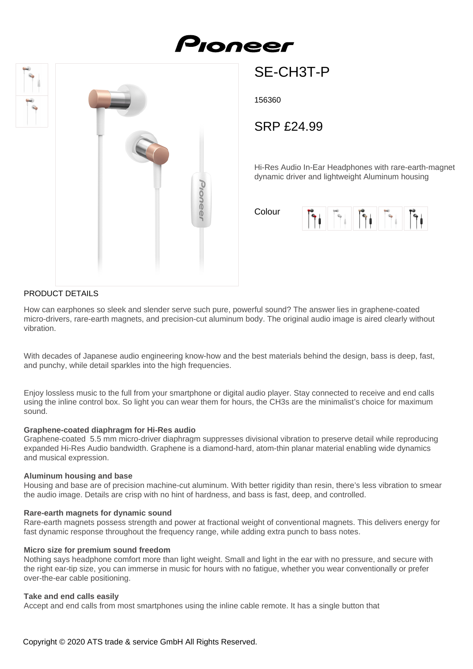# Pioneer



## SE-CH3T-P

156360

SRP £24.99

Hi-Res Audio In-Ear Headphones with rare-earth-magnet dynamic driver and lightweight Aluminum housing

Colour



### PRODUCT DETAILS

How can earphones so sleek and slender serve such pure, powerful sound? The answer lies in graphene-coated micro-drivers, rare-earth magnets, and precision-cut aluminum body. The original audio image is aired clearly without vibration.

With decades of Japanese audio engineering know-how and the best materials behind the design, bass is deep, fast, and punchy, while detail sparkles into the high frequencies.

Enjoy lossless music to the full from your smartphone or digital audio player. Stay connected to receive and end calls using the inline control box. So light you can wear them for hours, the CH3s are the minimalist's choice for maximum sound.

#### **Graphene-coated diaphragm for Hi-Res audio**

Graphene-coated 5.5 mm micro-driver diaphragm suppresses divisional vibration to preserve detail while reproducing expanded Hi-Res Audio bandwidth. Graphene is a diamond-hard, atom-thin planar material enabling wide dynamics and musical expression.

#### **Aluminum housing and base**

Housing and base are of precision machine-cut aluminum. With better rigidity than resin, there's less vibration to smear the audio image. Details are crisp with no hint of hardness, and bass is fast, deep, and controlled.

#### **Rare-earth magnets for dynamic sound**

Rare-earth magnets possess strength and power at fractional weight of conventional magnets. This delivers energy for fast dynamic response throughout the frequency range, while adding extra punch to bass notes.

#### **Micro size for premium sound freedom**

Nothing says headphone comfort more than light weight. Small and light in the ear with no pressure, and secure with the right ear-tip size, you can immerse in music for hours with no fatigue, whether you wear conventionally or prefer over-the-ear cable positioning.

#### **Take and end calls easily**

Accept and end calls from most smartphones using the inline cable remote. It has a single button that

Copyright © 2020 ATS trade & service GmbH All Rights Reserved.